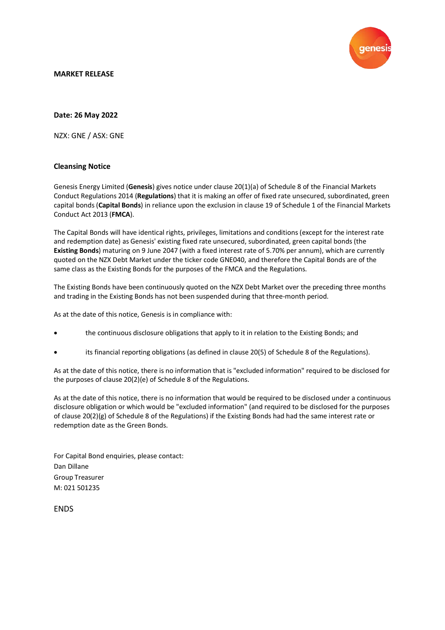

## **MARKET RELEASE**

## **Date: 26 May 2022**

NZX: GNE / ASX: GNE

## **Cleansing Notice**

Genesis Energy Limited (**Genesis**) gives notice under clause 20(1)(a) of Schedule 8 of the Financial Markets Conduct Regulations 2014 (**Regulations**) that it is making an offer of fixed rate unsecured, subordinated, green capital bonds (**Capital Bonds**) in reliance upon the exclusion in clause 19 of Schedule 1 of the Financial Markets Conduct Act 2013 (**FMCA**).

The Capital Bonds will have identical rights, privileges, limitations and conditions (except for the interest rate and redemption date) as Genesis' existing fixed rate unsecured, subordinated, green capital bonds (the **Existing Bonds**) maturing on 9 June 2047 (with a fixed interest rate of 5.70% per annum), which are currently quoted on the NZX Debt Market under the ticker code GNE040, and therefore the Capital Bonds are of the same class as the Existing Bonds for the purposes of the FMCA and the Regulations.

The Existing Bonds have been continuously quoted on the NZX Debt Market over the preceding three months and trading in the Existing Bonds has not been suspended during that three-month period.

As at the date of this notice, Genesis is in compliance with:

- the continuous disclosure obligations that apply to it in relation to the Existing Bonds; and
- its financial reporting obligations (as defined in clause 20(5) of Schedule 8 of the Regulations).

As at the date of this notice, there is no information that is "excluded information" required to be disclosed for the purposes of clause 20(2)(e) of Schedule 8 of the Regulations.

As at the date of this notice, there is no information that would be required to be disclosed under a continuous disclosure obligation or which would be "excluded information" (and required to be disclosed for the purposes of clause  $20(2)(g)$  of Schedule 8 of the Regulations) if the Existing Bonds had had the same interest rate or redemption date as the Green Bonds.

For Capital Bond enquiries, please contact: Dan Dillane Group Treasurer M: 021 501235

**FNDS**